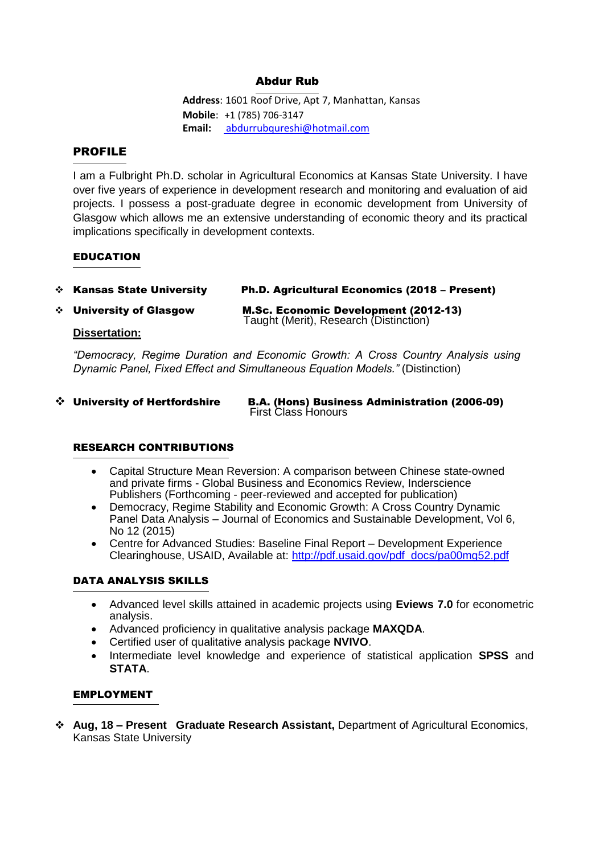# Abdur Rub

**Address**: 1601 Roof Drive, Apt 7, Manhattan, Kansas **Mobile**: +1 (785) 706-3147 **Email:** [abdurrubqureshi@hotmail.com](mailto:%20abdurrubqureshi@hotmail.co)

## PROFILE

I am a Fulbright Ph.D. scholar in Agricultural Economics at Kansas State University. I have over five years of experience in development research and monitoring and evaluation of aid projects. I possess a post-graduate degree in economic development from University of Glasgow which allows me an extensive understanding of economic theory and its practical implications specifically in development contexts.

### EDUCATION

| ❖ Kansas State University | Ph.D. Agricultural Economics (2018 - Present) |
|---------------------------|-----------------------------------------------|
|                           |                                               |

❖ University of Glasgow M.Sc. Economic Development (2012-13) Taught (Merit), Research (Distinction)

### **Dissertation:**

*"Democracy, Regime Duration and Economic Growth: A Cross Country Analysis using Dynamic Panel, Fixed Effect and Simultaneous Equation Models."* (Distinction)

#### ❖ University of Hertfordshire B.A. (Hons) Business Administration (2006-09) **First Class Honours**

# RESEARCH CONTRIBUTIONS

- Capital Structure Mean Reversion: A comparison between Chinese state-owned and private firms - Global Business and Economics Review, Inderscience Publishers (Forthcoming - peer-reviewed and accepted for publication)
- Democracy, Regime Stability and Economic Growth: A Cross Country Dynamic Panel Data Analysis – Journal of Economics and Sustainable Development, Vol 6, No 12 (2015)
- Centre for Advanced Studies: Baseline Final Report Development Experience Clearinghouse, USAID, Available at: [http://pdf.usaid.gov/pdf\\_docs/pa00mg52.pdf](http://pdf.usaid.gov/pdf_docs/pa00mg52.pdf)

# DATA ANALYSIS SKILLS

- Advanced level skills attained in academic projects using **Eviews 7.0** for econometric analysis.
- Advanced proficiency in qualitative analysis package **MAXQDA**.
- Certified user of qualitative analysis package **NVIVO**.
- Intermediate level knowledge and experience of statistical application **SPSS** and **STATA**.

### EMPLOYMENT

❖ **Aug, 18 – Present Graduate Research Assistant,** Department of Agricultural Economics, Kansas State University